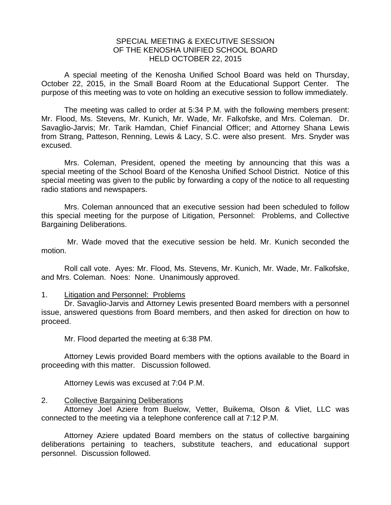## SPECIAL MEETING & EXECUTIVE SESSION OF THE KENOSHA UNIFIED SCHOOL BOARD HELD OCTOBER 22, 2015

A special meeting of the Kenosha Unified School Board was held on Thursday, October 22, 2015, in the Small Board Room at the Educational Support Center. The purpose of this meeting was to vote on holding an executive session to follow immediately.

 The meeting was called to order at 5:34 P.M. with the following members present: Mr. Flood, Ms. Stevens, Mr. Kunich, Mr. Wade, Mr. Falkofske, and Mrs. Coleman. Dr. Savaglio-Jarvis; Mr. Tarik Hamdan, Chief Financial Officer; and Attorney Shana Lewis from Strang, Patteson, Renning, Lewis & Lacy, S.C. were also present. Mrs. Snyder was excused.

 Mrs. Coleman, President, opened the meeting by announcing that this was a special meeting of the School Board of the Kenosha Unified School District. Notice of this special meeting was given to the public by forwarding a copy of the notice to all requesting radio stations and newspapers.

 Mrs. Coleman announced that an executive session had been scheduled to follow this special meeting for the purpose of Litigation, Personnel: Problems, and Collective Bargaining Deliberations.

 Mr. Wade moved that the executive session be held. Mr. Kunich seconded the motion.

 Roll call vote. Ayes: Mr. Flood, Ms. Stevens, Mr. Kunich, Mr. Wade, Mr. Falkofske, and Mrs. Coleman. Noes: None. Unanimously approved.

## 1. Litigation and Personnel: Problems

Dr. Savaglio-Jarvis and Attorney Lewis presented Board members with a personnel issue, answered questions from Board members, and then asked for direction on how to proceed.

Mr. Flood departed the meeting at 6:38 PM.

Attorney Lewis provided Board members with the options available to the Board in proceeding with this matter. Discussion followed.

Attorney Lewis was excused at 7:04 P.M.

## 2. Collective Bargaining Deliberations

 Attorney Joel Aziere from Buelow, Vetter, Buikema, Olson & Vliet, LLC was connected to the meeting via a telephone conference call at 7:12 P.M.

Attorney Aziere updated Board members on the status of collective bargaining deliberations pertaining to teachers, substitute teachers, and educational support personnel. Discussion followed.